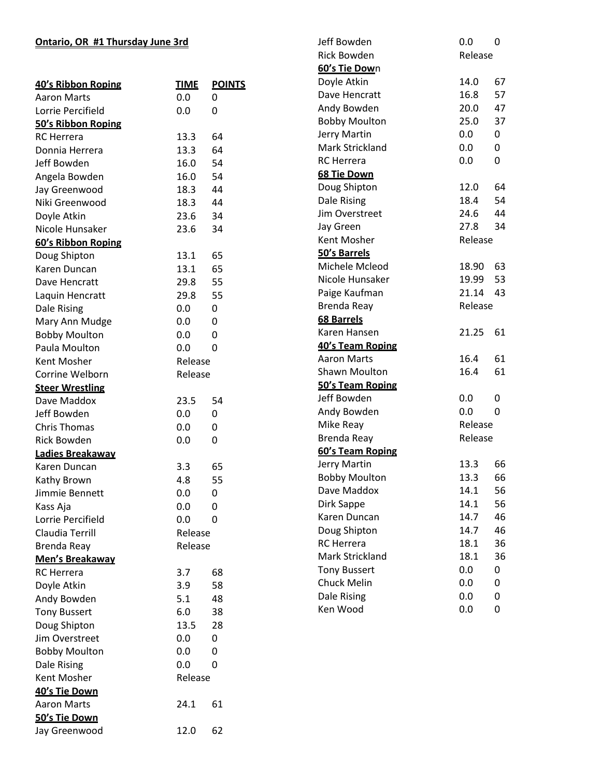## **Ontario, OR #1 Thursday June 3rd**

|                                       |             |               | <b>Rick Bowden</b>   | Release |              |
|---------------------------------------|-------------|---------------|----------------------|---------|--------------|
|                                       |             |               | 60's Tie Down        |         |              |
| 40's Ribbon Roping                    | <b>TIME</b> | <b>POINTS</b> | Doyle Atkin          | 14.0    | 67           |
| <b>Aaron Marts</b>                    | 0.0         | 0             | Dave Hencratt        | 16.8    | 57           |
| Lorrie Percifield                     | 0.0         | 0             | Andy Bowden          | 20.0    | 47           |
| 50's Ribbon Roping                    |             |               | <b>Bobby Moulton</b> | 25.0    | 37           |
| <b>RC</b> Herrera                     | 13.3        | 64            | Jerry Martin         | 0.0     | 0            |
| Donnia Herrera                        | 13.3        | 64            | Mark Strickland      | 0.0     | 0            |
| Jeff Bowden                           | 16.0        | 54            | <b>RC</b> Herrera    | 0.0     | 0            |
| Angela Bowden                         | 16.0        | 54            | 68 Tie Down          |         |              |
| Jay Greenwood                         | 18.3        | 44            | Doug Shipton         | 12.0    | 64           |
| Niki Greenwood                        | 18.3        | 44            | Dale Rising          | 18.4    | 54           |
| Doyle Atkin                           | 23.6        | 34            | Jim Overstreet       | 24.6    | 44           |
| Nicole Hunsaker                       | 23.6        | 34            | Jay Green            | 27.8    | 34           |
| 60's Ribbon Roping                    |             |               | Kent Mosher          | Release |              |
| Doug Shipton                          | 13.1        | 65            | 50's Barrels         |         |              |
| Karen Duncan                          | 13.1        | 65            | Michele Mcleod       | 18.90   | 63           |
| Dave Hencratt                         | 29.8        | 55            | Nicole Hunsaker      | 19.99   | 53           |
| Laquin Hencratt                       | 29.8        | 55            | Paige Kaufman        | 21.14   | 43           |
|                                       | 0.0         | 0             | Brenda Reay          | Release |              |
| Dale Rising                           |             |               | <b>68 Barrels</b>    |         |              |
| Mary Ann Mudge                        | 0.0         | 0             | Karen Hansen         | 21.25   | 61           |
| <b>Bobby Moulton</b><br>Paula Moulton | 0.0<br>0.0  | 0<br>0        | 40's Team Roping     |         |              |
|                                       |             |               | <b>Aaron Marts</b>   | 16.4    | 61           |
| Kent Mosher                           | Release     |               | Shawn Moulton        | 16.4    | 61           |
| Corrine Welborn                       | Release     |               | 50's Team Roping     |         |              |
| <b>Steer Wrestling</b>                |             |               | Jeff Bowden          | 0.0     | 0            |
| Dave Maddox                           | 23.5        | 54            | Andy Bowden          | 0.0     | $\mathbf{0}$ |
| Jeff Bowden                           | 0.0         | 0             | Mike Reay            | Release |              |
| <b>Chris Thomas</b>                   | 0.0         | 0             | Brenda Reay          | Release |              |
| <b>Rick Bowden</b>                    | 0.0         | 0             | 60's Team Roping     |         |              |
| Ladies Breakaway                      |             |               | Jerry Martin         | 13.3    | 66           |
| Karen Duncan                          | 3.3         | 65            | <b>Bobby Moulton</b> | 13.3    | 66           |
| Kathy Brown                           | 4.8         | 55            | Dave Maddox          | 14.1    | 56           |
| Jimmie Bennett                        | 0.0         | $\pmb{0}$     | Dirk Sappe           | 14.1    | 56           |
| Kass Aja                              | 0.0         | 0             | Karen Duncan         | 14.7    | 46           |
| Lorrie Percifield                     | 0.0         | 0             | Doug Shipton         | 14.7    | 46           |
| Claudia Terrill                       | Release     |               | <b>RC</b> Herrera    | 18.1    | 36           |
| Brenda Reay                           | Release     |               | Mark Strickland      |         |              |
| <b>Men's Breakaway</b>                |             |               |                      | 18.1    | 36           |
| <b>RC</b> Herrera                     | 3.7         | 68            | <b>Tony Bussert</b>  | 0.0     | 0            |
| Doyle Atkin                           | 3.9         | 58            | Chuck Melin          | 0.0     | 0            |
| Andy Bowden                           | 5.1         | 48            | Dale Rising          | 0.0     | 0            |
| <b>Tony Bussert</b>                   | 6.0         | 38            | Ken Wood             | 0.0     | 0            |
| Doug Shipton                          | 13.5        | 28            |                      |         |              |
| Jim Overstreet                        | 0.0         | 0             |                      |         |              |
| <b>Bobby Moulton</b>                  | 0.0         | 0             |                      |         |              |
| Dale Rising                           | 0.0         | 0             |                      |         |              |
| Kent Mosher                           | Release     |               |                      |         |              |
| 40's Tie Down                         |             |               |                      |         |              |
| <b>Aaron Marts</b>                    | 24.1        | 61            |                      |         |              |
| 50's Tie Down                         |             |               |                      |         |              |
| Jay Greenwood                         | 12.0        | 62            |                      |         |              |

Jeff Bowden 0.0

0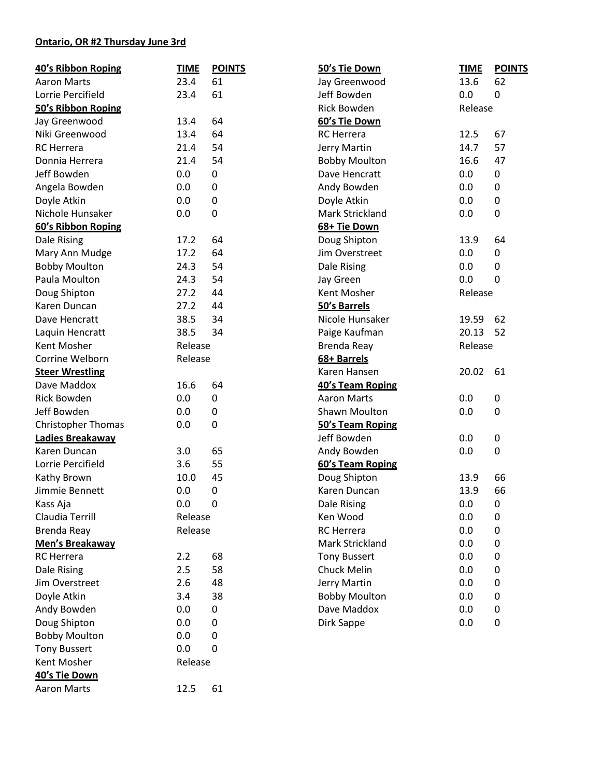## **Ontario, OR #2 Thursday June 3rd**

| 40's Ribbon Roping     | <b>TIME</b> | <b>POINTS</b>    | 50's Tie Down        | <b>TIME</b> | <b>POINTS</b> |
|------------------------|-------------|------------------|----------------------|-------------|---------------|
| <b>Aaron Marts</b>     | 23.4        | 61               | Jay Greenwood        | 13.6        | 62            |
| Lorrie Percifield      | 23.4        | 61               | Jeff Bowden          | 0.0         | 0             |
| 50's Ribbon Roping     |             |                  | <b>Rick Bowden</b>   | Release     |               |
| Jay Greenwood          | 13.4        | 64               | 60's Tie Down        |             |               |
| Niki Greenwood         | 13.4        | 64               | <b>RC</b> Herrera    | 12.5        | 67            |
| <b>RC</b> Herrera      | 21.4        | 54               | Jerry Martin         | 14.7        | 57            |
| Donnia Herrera         | 21.4        | 54               | <b>Bobby Moulton</b> | 16.6        | 47            |
| Jeff Bowden            | 0.0         | 0                | Dave Hencratt        | 0.0         | 0             |
| Angela Bowden          | 0.0         | 0                | Andy Bowden          | 0.0         | 0             |
| Doyle Atkin            | 0.0         | 0                | Doyle Atkin          | 0.0         | 0             |
| Nichole Hunsaker       | 0.0         | 0                | Mark Strickland      | 0.0         | 0             |
| 60's Ribbon Roping     |             |                  | 68+ Tie Down         |             |               |
| Dale Rising            | 17.2        | 64               | Doug Shipton         | 13.9        | 64            |
| Mary Ann Mudge         | 17.2        | 64               | Jim Overstreet       | 0.0         | 0             |
| <b>Bobby Moulton</b>   | 24.3        | 54               | Dale Rising          | 0.0         | 0             |
| Paula Moulton          | 24.3        | 54               | Jay Green            | 0.0         | 0             |
| Doug Shipton           | 27.2        | 44               | Kent Mosher          | Release     |               |
| Karen Duncan           | 27.2        | 44               | 50's Barrels         |             |               |
| Dave Hencratt          | 38.5        | 34               | Nicole Hunsaker      | 19.59       | 62            |
| Laquin Hencratt        | 38.5        | 34               | Paige Kaufman        | 20.13       | 52            |
| Kent Mosher            | Release     |                  | Brenda Reay          | Release     |               |
| Corrine Welborn        | Release     |                  | 68+ Barrels          |             |               |
| <b>Steer Wrestling</b> |             |                  | Karen Hansen         | 20.02       | 61            |
| Dave Maddox            | 16.6        | 64               | 40's Team Roping     |             |               |
| <b>Rick Bowden</b>     | 0.0         | 0                | <b>Aaron Marts</b>   | 0.0         | 0             |
| Jeff Bowden            | 0.0         | 0                | <b>Shawn Moulton</b> | 0.0         | 0             |
| Christopher Thomas     | 0.0         | 0                | 50's Team Roping     |             |               |
| Ladies Breakaway       |             |                  | Jeff Bowden          | 0.0         | 0             |
| Karen Duncan           | 3.0         | 65               | Andy Bowden          | 0.0         | 0             |
| Lorrie Percifield      | 3.6         | 55               | 60's Team Roping     |             |               |
| Kathy Brown            | 10.0        | 45               | Doug Shipton         | 13.9        | 66            |
| Jimmie Bennett         | 0.0         | 0                | Karen Duncan         | 13.9        | 66            |
| Kass Aja               | 0.0         | $\boldsymbol{0}$ | Dale Rising          | 0.0         | 0             |
| Claudia Terrill        | Release     |                  | Ken Wood             | 0.0         | 0             |
| <b>Brenda Reay</b>     | Release     |                  | <b>RC</b> Herrera    | 0.0         | 0             |
| Men's Breakaway        |             |                  | Mark Strickland      | 0.0         | 0             |
| <b>RC</b> Herrera      | 2.2         | 68               | <b>Tony Bussert</b>  | 0.0         | 0             |
| Dale Rising            | 2.5         | 58               | Chuck Melin          | 0.0         | 0             |
| Jim Overstreet         | 2.6         | 48               | Jerry Martin         | 0.0         | 0             |
| Doyle Atkin            | 3.4         | 38               | <b>Bobby Moulton</b> | 0.0         | 0             |
| Andy Bowden            | 0.0         | 0                | Dave Maddox          | 0.0         | 0             |
| Doug Shipton           | 0.0         | 0                | Dirk Sappe           | 0.0         | $\pmb{0}$     |
| <b>Bobby Moulton</b>   | 0.0         | 0                |                      |             |               |
| <b>Tony Bussert</b>    | 0.0         | 0                |                      |             |               |
| Kent Mosher            | Release     |                  |                      |             |               |
| 40's Tie Down          |             |                  |                      |             |               |
| Aaron Marts            | 12.5        | 61               |                      |             |               |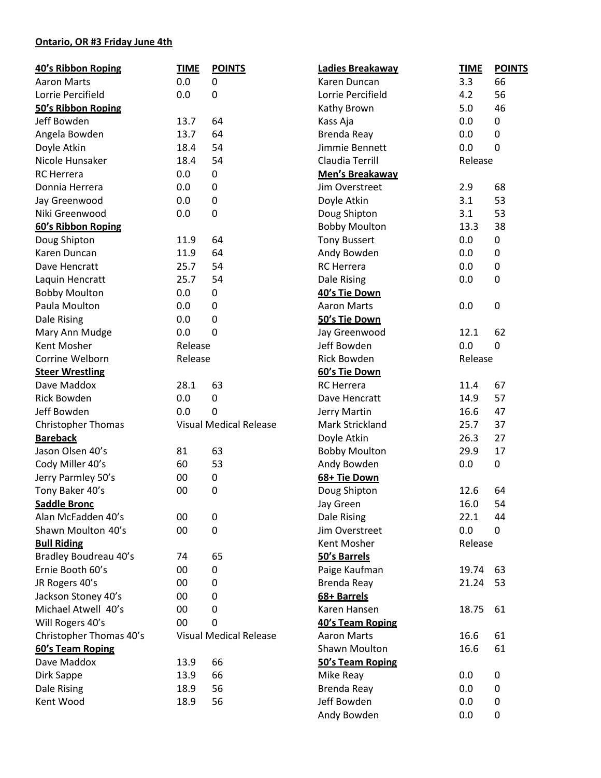## **Ontario, OR #3 Friday June 4th**

| 40's Ribbon Roping                         | <b>TIME</b> | <b>POINTS</b>                 | Ladies Breakaway     | <b>TIME</b>    | <b>POINTS</b> |
|--------------------------------------------|-------------|-------------------------------|----------------------|----------------|---------------|
| <b>Aaron Marts</b>                         | 0.0         | 0                             | Karen Duncan         | 3.3            | 66            |
| Lorrie Percifield                          | 0.0         | 0                             | Lorrie Percifield    | 4.2            | 56            |
| 50's Ribbon Roping                         |             |                               | Kathy Brown          | 5.0            | 46            |
| Jeff Bowden                                | 13.7        | 64                            | Kass Aja             | 0.0            | 0             |
| Angela Bowden                              | 13.7        | 64                            | <b>Brenda Reay</b>   | 0.0            | 0             |
| Doyle Atkin                                | 18.4        | 54                            | Jimmie Bennett       | 0.0            | 0             |
| Nicole Hunsaker                            | 18.4        | 54                            | Claudia Terrill      | Release        |               |
| <b>RC</b> Herrera                          | 0.0         | 0                             | Men's Breakaway      |                |               |
| Donnia Herrera                             | 0.0         | 0                             | Jim Overstreet       | 2.9            | 68            |
| Jay Greenwood                              | 0.0         | 0                             | Doyle Atkin          | 3.1            | 53            |
| Niki Greenwood                             | 0.0         | 0                             | Doug Shipton         | 3.1            | 53            |
| 60's Ribbon Roping                         |             |                               | <b>Bobby Moulton</b> | 13.3           | 38            |
| Doug Shipton                               | 11.9        | 64                            | <b>Tony Bussert</b>  | 0.0            | 0             |
| Karen Duncan                               | 11.9        | 64                            | Andy Bowden          | 0.0            | 0             |
| Dave Hencratt                              | 25.7        | 54                            | <b>RC</b> Herrera    | 0.0            | 0             |
| Laquin Hencratt                            | 25.7        | 54                            | Dale Rising          | 0.0            | 0             |
| <b>Bobby Moulton</b>                       | 0.0         | 0                             | 40's Tie Down        |                |               |
| Paula Moulton                              | 0.0         | $\mathbf 0$                   | <b>Aaron Marts</b>   | 0.0            | 0             |
| Dale Rising                                | 0.0         | $\mathbf 0$                   | 50's Tie Down        |                |               |
| Mary Ann Mudge                             | 0.0         | $\mathbf 0$                   | Jay Greenwood        | 12.1           | 62            |
| Kent Mosher                                | Release     |                               | Jeff Bowden          | 0.0            | 0             |
| Corrine Welborn                            | Release     |                               | Rick Bowden          | Release        |               |
| <b>Steer Wrestling</b>                     |             |                               | 60's Tie Down        |                |               |
| Dave Maddox                                | 28.1        | 63                            | <b>RC</b> Herrera    | 11.4           | 67            |
| <b>Rick Bowden</b>                         | 0.0         | 0                             | Dave Hencratt        | 14.9           | 57            |
| Jeff Bowden                                | 0.0         | 0                             | Jerry Martin         | 16.6           | 47            |
| <b>Christopher Thomas</b>                  |             | <b>Visual Medical Release</b> | Mark Strickland      | 25.7           | 37            |
| <b>Bareback</b>                            |             |                               | Doyle Atkin          | 26.3           | 27            |
| Jason Olsen 40's                           | 81          | 63                            | <b>Bobby Moulton</b> | 29.9           | 17            |
| Cody Miller 40's                           | 60          | 53                            | Andy Bowden          | 0.0            | 0             |
| Jerry Parmley 50's                         | 00          | 0                             | 68+ Tie Down         |                |               |
| Tony Baker 40's                            | 00          | 0                             | Doug Shipton         | 12.6           | 64            |
| <b>Saddle Bronc</b>                        |             |                               | Jay Green            | 16.0           | 54            |
| Alan McFadden 40's                         | 00          | 0                             | Dale Rising          | 22.1           | 44            |
| Shawn Moulton 40's                         | 00          | 0                             | Jim Overstreet       | 0.0            | 0             |
| <b>Bull Riding</b>                         |             |                               | Kent Mosher          | Release        |               |
| Bradley Boudreau 40's                      |             | 65                            | 50's Barrels         |                |               |
| Ernie Booth 60's                           | 74<br>00    | 0                             | Paige Kaufman        |                | 63            |
| JR Rogers 40's                             | 00          | $\mathbf{0}$                  |                      | 19.74<br>21.24 |               |
|                                            |             |                               | Brenda Reay          |                | 53            |
| Jackson Stoney 40's<br>Michael Atwell 40's | 00          | 0                             | 68+ Barrels          |                |               |
|                                            | 00          | $\mathbf{0}$                  | Karen Hansen         | 18.75          | 61            |
| Will Rogers 40's                           | 00          | 0                             | 40's Team Roping     |                |               |
| Christopher Thomas 40's                    |             | <b>Visual Medical Release</b> | <b>Aaron Marts</b>   | 16.6           | 61            |
| 60's Team Roping                           |             |                               | Shawn Moulton        | 16.6           | 61            |
| Dave Maddox                                | 13.9        | 66                            | 50's Team Roping     |                |               |
| Dirk Sappe                                 | 13.9        | 66                            | Mike Reay            | 0.0            | 0             |
| Dale Rising                                | 18.9        | 56                            | Brenda Reay          | 0.0            | 0             |
| Kent Wood                                  | 18.9        | 56                            | Jeff Bowden          | 0.0            | 0             |
|                                            |             |                               | Andy Bowden          | 0.0            | 0             |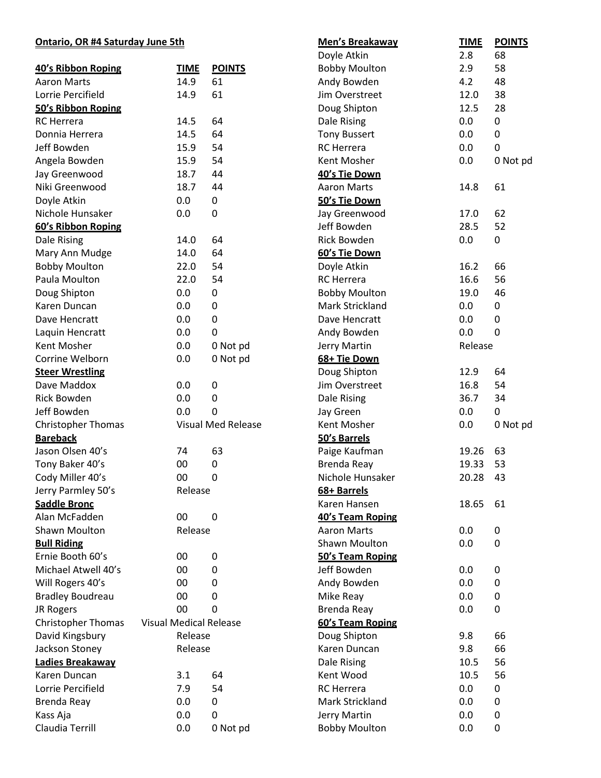## **Ontario, OR #4 Saturday June 5th**

| <b>Ontario, OR #4 Saturday June 5th</b> |                                          |                           | Men's Breakaway      | <b>TIME</b> | <b>POINTS</b> |  |
|-----------------------------------------|------------------------------------------|---------------------------|----------------------|-------------|---------------|--|
|                                         |                                          |                           | Doyle Atkin          | 2.8         | 68            |  |
| 40's Ribbon Roping                      | <b>TIME</b>                              | <b>POINTS</b>             | <b>Bobby Moulton</b> | 2.9         | 58            |  |
| <b>Aaron Marts</b>                      | 14.9                                     | 61                        | Andy Bowden          | 4.2         | 48            |  |
| Lorrie Percifield                       | 14.9                                     | 61                        | Jim Overstreet       | 12.0        | 38            |  |
| 50's Ribbon Roping                      |                                          |                           | Doug Shipton         | 12.5        | 28            |  |
| <b>RC</b> Herrera                       | 14.5                                     | 64                        | Dale Rising          | 0.0         | 0             |  |
| Donnia Herrera                          | 14.5                                     | 64                        | <b>Tony Bussert</b>  | 0.0         | 0             |  |
| Jeff Bowden                             | 15.9                                     | 54                        | <b>RC</b> Herrera    | 0.0         | 0             |  |
| Angela Bowden                           | 15.9                                     | 54                        | Kent Mosher          | 0.0         | 0 Not pd      |  |
| Jay Greenwood                           | 18.7                                     | 44                        | 40's Tie Down        |             |               |  |
| Niki Greenwood                          | 18.7                                     | 44                        | <b>Aaron Marts</b>   | 14.8        | 61            |  |
| Doyle Atkin                             | 0.0                                      | 0                         | 50's Tie Down        |             |               |  |
| Nichole Hunsaker                        | 0.0                                      | $\mathbf 0$               | Jay Greenwood        | 17.0        | 62            |  |
| 60's Ribbon Roping                      |                                          |                           | Jeff Bowden          | 28.5        | 52            |  |
| Dale Rising                             | 14.0                                     | 64                        | <b>Rick Bowden</b>   | 0.0         | 0             |  |
| Mary Ann Mudge                          | 14.0                                     | 64                        | 60's Tie Down        |             |               |  |
| <b>Bobby Moulton</b>                    | 22.0                                     | 54                        | Doyle Atkin          | 16.2        | 66            |  |
| Paula Moulton                           | 22.0                                     | 54                        | <b>RC</b> Herrera    | 16.6        | 56            |  |
| Doug Shipton                            | 0.0                                      | 0                         | <b>Bobby Moulton</b> | 19.0        | 46            |  |
| Karen Duncan                            | 0.0                                      | $\mathbf 0$               | Mark Strickland      | 0.0         | 0             |  |
| Dave Hencratt                           | 0.0                                      | $\mathbf 0$               | Dave Hencratt        | 0.0         | 0             |  |
| Laquin Hencratt                         | 0.0                                      | 0                         | Andy Bowden          | 0.0         | 0             |  |
| Kent Mosher                             | 0.0                                      | 0 Not pd                  | Jerry Martin         | Release     |               |  |
| Corrine Welborn                         | 0.0                                      | 0 Not pd                  | 68+ Tie Down         |             |               |  |
| <b>Steer Wrestling</b>                  |                                          |                           | Doug Shipton         | 12.9        | 64            |  |
| Dave Maddox                             | 0.0                                      | 0                         | Jim Overstreet       | 16.8        | 54            |  |
| <b>Rick Bowden</b>                      | 0.0                                      | 0                         | Dale Rising          | 36.7        | 34            |  |
| Jeff Bowden                             | 0.0                                      | 0                         | Jay Green            | 0.0         | 0             |  |
| Christopher Thomas                      |                                          | <b>Visual Med Release</b> | Kent Mosher          | 0.0         | 0 Not pd      |  |
| <b>Bareback</b>                         |                                          |                           | 50's Barrels         |             |               |  |
| Jason Olsen 40's                        | 74                                       | 63                        | Paige Kaufman        | 19.26       | 63            |  |
| Tony Baker 40's                         | 00                                       | 0                         | <b>Brenda Reay</b>   | 19.33       | 53            |  |
| Cody Miller 40's                        | $00\,$                                   | $\mathbf 0$               | Nichole Hunsaker     | 20.28 43    |               |  |
| Jerry Parmley 50's                      | Release                                  |                           | 68+ Barrels          |             |               |  |
| <b>Saddle Bronc</b>                     |                                          |                           | Karen Hansen         | 18.65       | 61            |  |
| Alan McFadden                           | 00                                       | 0                         | 40's Team Roping     |             |               |  |
| Shawn Moulton                           | Release                                  |                           | <b>Aaron Marts</b>   | 0.0         | 0             |  |
| <b>Bull Riding</b>                      |                                          |                           | Shawn Moulton        | 0.0         | 0             |  |
| Ernie Booth 60's                        | 00                                       | 0                         | 50's Team Roping     |             |               |  |
| Michael Atwell 40's                     | 00                                       | 0                         | Jeff Bowden          | 0.0         | 0             |  |
| Will Rogers 40's                        | 00                                       | 0                         | Andy Bowden          | 0.0         | 0             |  |
| <b>Bradley Boudreau</b>                 | 00                                       | 0                         | Mike Reay            | 0.0         | 0             |  |
| JR Rogers                               | 00                                       | 0                         | Brenda Reay          | 0.0         | 0             |  |
| <b>Christopher Thomas</b>               |                                          |                           | 60's Team Roping     |             |               |  |
| David Kingsbury                         | <b>Visual Medical Release</b><br>Release |                           | Doug Shipton         | 9.8         | 66            |  |
| Jackson Stoney                          | Release                                  |                           | Karen Duncan         | 9.8         | 66            |  |
| Ladies Breakaway                        |                                          |                           | Dale Rising          | 10.5        | 56            |  |
| Karen Duncan                            | 3.1                                      | 64                        | Kent Wood            | 10.5        | 56            |  |
| Lorrie Percifield                       | 7.9                                      | 54                        | <b>RC</b> Herrera    | 0.0         | 0             |  |
| Brenda Reay                             | 0.0                                      | 0                         | Mark Strickland      | 0.0         | 0             |  |
| Kass Aja                                | 0.0                                      | 0                         | Jerry Martin         | 0.0         | 0             |  |
| Claudia Terrill                         | 0.0                                      | 0 Not pd                  | <b>Bobby Moulton</b> | 0.0         | 0             |  |
|                                         |                                          |                           |                      |             |               |  |